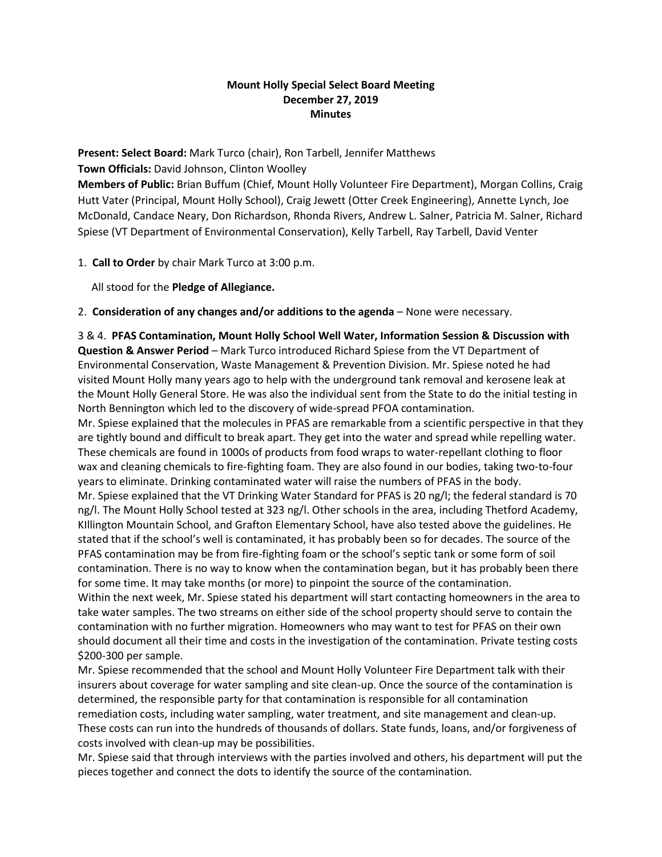## **Mount Holly Special Select Board Meeting December 27, 2019 Minutes**

**Present: Select Board:** Mark Turco (chair), Ron Tarbell, Jennifer Matthews

**Town Officials:** David Johnson, Clinton Woolley

**Members of Public:** Brian Buffum (Chief, Mount Holly Volunteer Fire Department), Morgan Collins, Craig Hutt Vater (Principal, Mount Holly School), Craig Jewett (Otter Creek Engineering), Annette Lynch, Joe McDonald, Candace Neary, Don Richardson, Rhonda Rivers, Andrew L. Salner, Patricia M. Salner, Richard Spiese (VT Department of Environmental Conservation), Kelly Tarbell, Ray Tarbell, David Venter

1. **Call to Order** by chair Mark Turco at 3:00 p.m.

All stood for the **Pledge of Allegiance.**

2. **Consideration of any changes and/or additions to the agenda** – None were necessary.

3 & 4. **PFAS Contamination, Mount Holly School Well Water, Information Session & Discussion with Question & Answer Period** – Mark Turco introduced Richard Spiese from the VT Department of Environmental Conservation, Waste Management & Prevention Division. Mr. Spiese noted he had visited Mount Holly many years ago to help with the underground tank removal and kerosene leak at the Mount Holly General Store. He was also the individual sent from the State to do the initial testing in North Bennington which led to the discovery of wide-spread PFOA contamination.

Mr. Spiese explained that the molecules in PFAS are remarkable from a scientific perspective in that they are tightly bound and difficult to break apart. They get into the water and spread while repelling water. These chemicals are found in 1000s of products from food wraps to water-repellant clothing to floor wax and cleaning chemicals to fire-fighting foam. They are also found in our bodies, taking two-to-four years to eliminate. Drinking contaminated water will raise the numbers of PFAS in the body.

Mr. Spiese explained that the VT Drinking Water Standard for PFAS is 20 ng/l; the federal standard is 70 ng/l. The Mount Holly School tested at 323 ng/l. Other schools in the area, including Thetford Academy, KIllington Mountain School, and Grafton Elementary School, have also tested above the guidelines. He stated that if the school's well is contaminated, it has probably been so for decades. The source of the PFAS contamination may be from fire-fighting foam or the school's septic tank or some form of soil contamination. There is no way to know when the contamination began, but it has probably been there for some time. It may take months (or more) to pinpoint the source of the contamination.

Within the next week, Mr. Spiese stated his department will start contacting homeowners in the area to take water samples. The two streams on either side of the school property should serve to contain the contamination with no further migration. Homeowners who may want to test for PFAS on their own should document all their time and costs in the investigation of the contamination. Private testing costs \$200-300 per sample.

Mr. Spiese recommended that the school and Mount Holly Volunteer Fire Department talk with their insurers about coverage for water sampling and site clean-up. Once the source of the contamination is determined, the responsible party for that contamination is responsible for all contamination remediation costs, including water sampling, water treatment, and site management and clean-up. These costs can run into the hundreds of thousands of dollars. State funds, loans, and/or forgiveness of costs involved with clean-up may be possibilities.

Mr. Spiese said that through interviews with the parties involved and others, his department will put the pieces together and connect the dots to identify the source of the contamination.